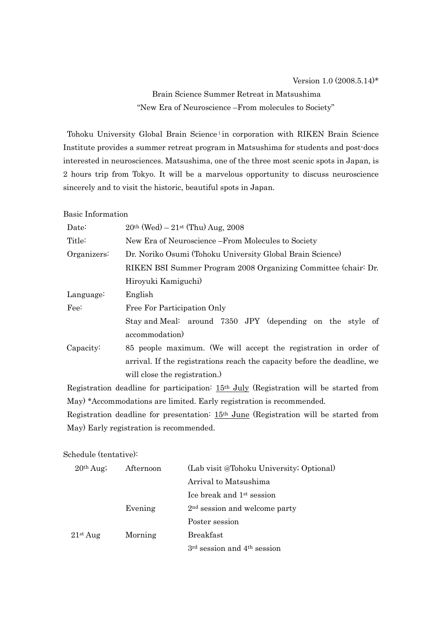# Brain Science Summer Retreat in Matsushima "New Era of Neuroscience –From molecules to Society"

Tohoku University Global Brain Science<sup>1</sup>in corporation with RIKEN Brain Science Institute provides a summer retreat program in Matsushima for students and post-docs interested in neurosciences. Matsushima, one of the three most scenic spots in Japan, is 2 hours trip from Tokyo. It will be a marvelous opportunity to discuss neuroscience sincerely and to visit the historic, beautiful spots in Japan.

Basic Information

| Date:       | $20th$ (Wed) – $21st$ (Thu) Aug, 2008                                    |  |  |
|-------------|--------------------------------------------------------------------------|--|--|
| Title:      | New Era of Neuroscience – From Molecules to Society                      |  |  |
| Organizers: | Dr. Noriko Osumi (Tohoku University Global Brain Science)                |  |  |
|             | RIKEN BSI Summer Program 2008 Organizing Committee (chair: Dr.           |  |  |
|             | Hiroyuki Kamiguchi)                                                      |  |  |
| Language:   | English                                                                  |  |  |
| Fee:        | Free For Participation Only                                              |  |  |
|             | Stay and Meal: around 7350 JPY (depending on the style of                |  |  |
|             | accommodation)                                                           |  |  |
| Capacity:   | 85 people maximum. (We will accept the registration in order of          |  |  |
|             | arrival. If the registrations reach the capacity before the deadline, we |  |  |
|             | will close the registration.)                                            |  |  |

Registration deadline for participation: 15th July (Registration will be started from May) \*Accommodations are limited. Early registration is recommended.

Registration deadline for presentation: 15th June (Registration will be started from May) Early registration is recommended.

Schedule (tentative):

| 20 <sup>th</sup> Aug; | Afternoon | (Lab visit @Tohoku University; Optional) |
|-----------------------|-----------|------------------------------------------|
|                       |           | Arrival to Matsushima                    |
|                       |           | Lee break and 1 <sup>st</sup> session    |
|                       | Evening   | $2nd$ session and welcome party          |
|                       |           | Poster session                           |
| 21 <sup>st</sup> Aug  | Morning   | <b>Breakfast</b>                         |
|                       |           | $3rd$ session and $4th$ session          |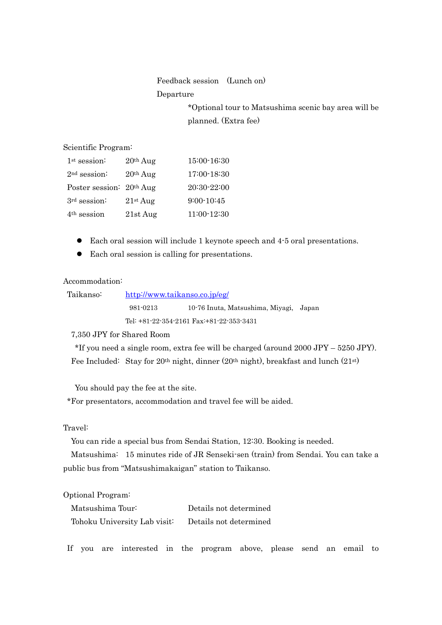Feedback session (Lunch on)

#### Departure

\*Optional tour to Matsushima scenic bay area will be planned. (Extra fee)

Scientific Program:

| 1 <sup>st</sup> session: | $20th$ Aug           | $15:00-16:30$  |
|--------------------------|----------------------|----------------|
| $2nd$ session:           | $20th$ Aug           | 17:00-18:30    |
| Poster session: 20th Aug |                      | 20:30-22:00    |
| 3rd session:             | 21 <sup>st</sup> Aug | $9:00 - 10:45$ |
| $4th$ session            | $21st$ Aug           | $11:00-12:30$  |

- Each oral session will include 1 keynote speech and 4-5 oral presentations.
- $\bullet$  Each oral session is calling for presentations.

### Accommodation:

| Taikanso: | http://www.taikanso.co.jp/eg/ |                                               |  |
|-----------|-------------------------------|-----------------------------------------------|--|
|           | 981-0213                      | 10.76 Inuta, Matsushima, Miyagi, Japan        |  |
|           |                               | Tel: $+81-22-354-2161$ Fax: $+81-22-353-3431$ |  |

7,350 JPY for Shared Room

 \*If you need a single room, extra fee will be charged (around 2000 JPY – 5250 JPY). Fee Included: Stay for 20th night, dinner (20th night), breakfast and lunch (21st)

You should pay the fee at the site.

\*For presentators, accommodation and travel fee will be aided.

#### Travel:

You can ride a special bus from Sendai Station, 12:30. Booking is needed.

Matsushima: 15 minutes ride of JR Senseki-sen (train) from Sendai. You can take a public bus from "Matsushimakaigan" station to Taikanso.

#### Optional Program:

| Matsushima Tour:             | Details not determined |
|------------------------------|------------------------|
| Tohoku University Lab visit: | Details not determined |

If you are interested in the program above, please send an email to